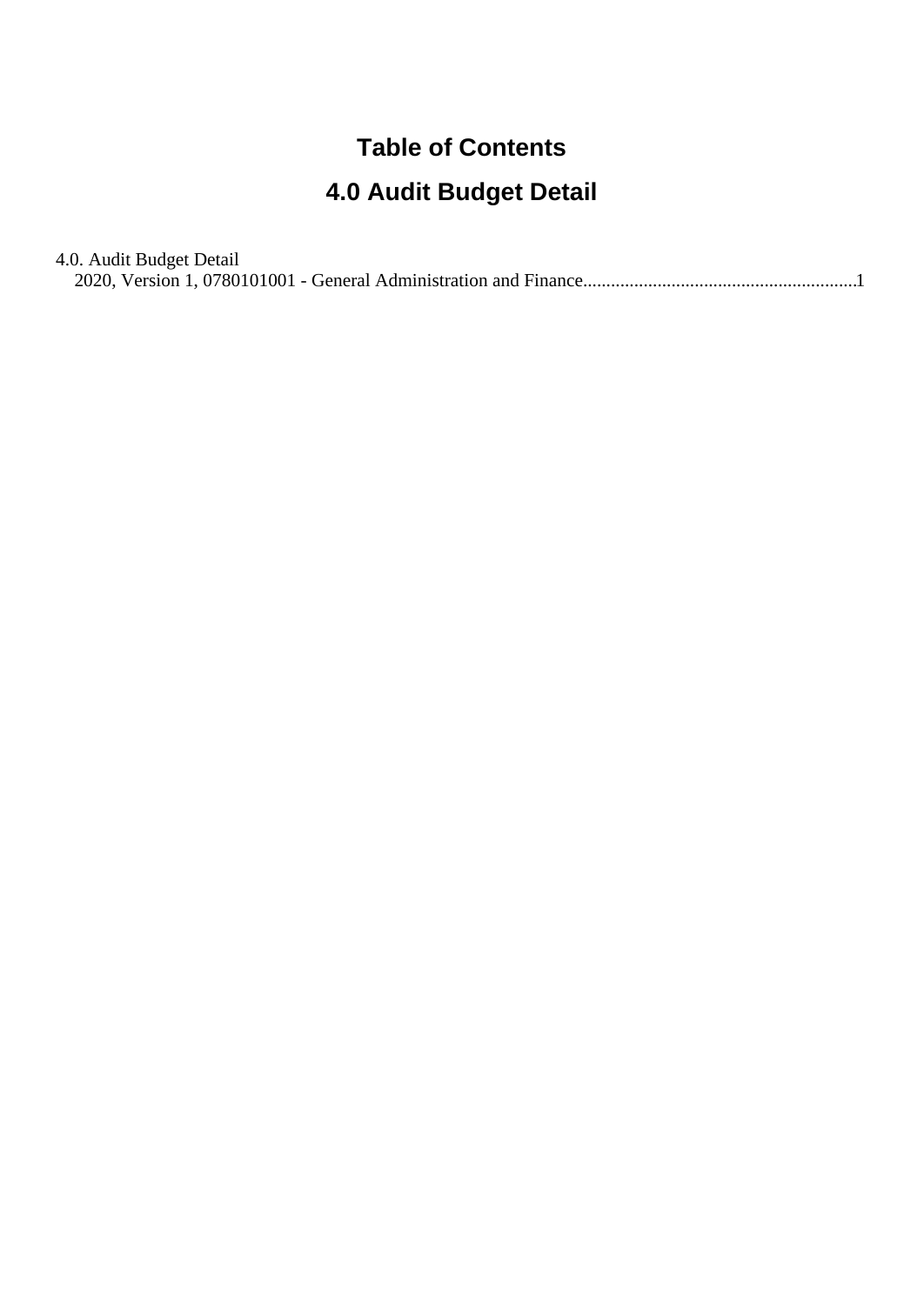## **Table of Contents**

# **4.0 Audit Budget Detail**

| 4.0. Audit Budget Detail |  |
|--------------------------|--|
|                          |  |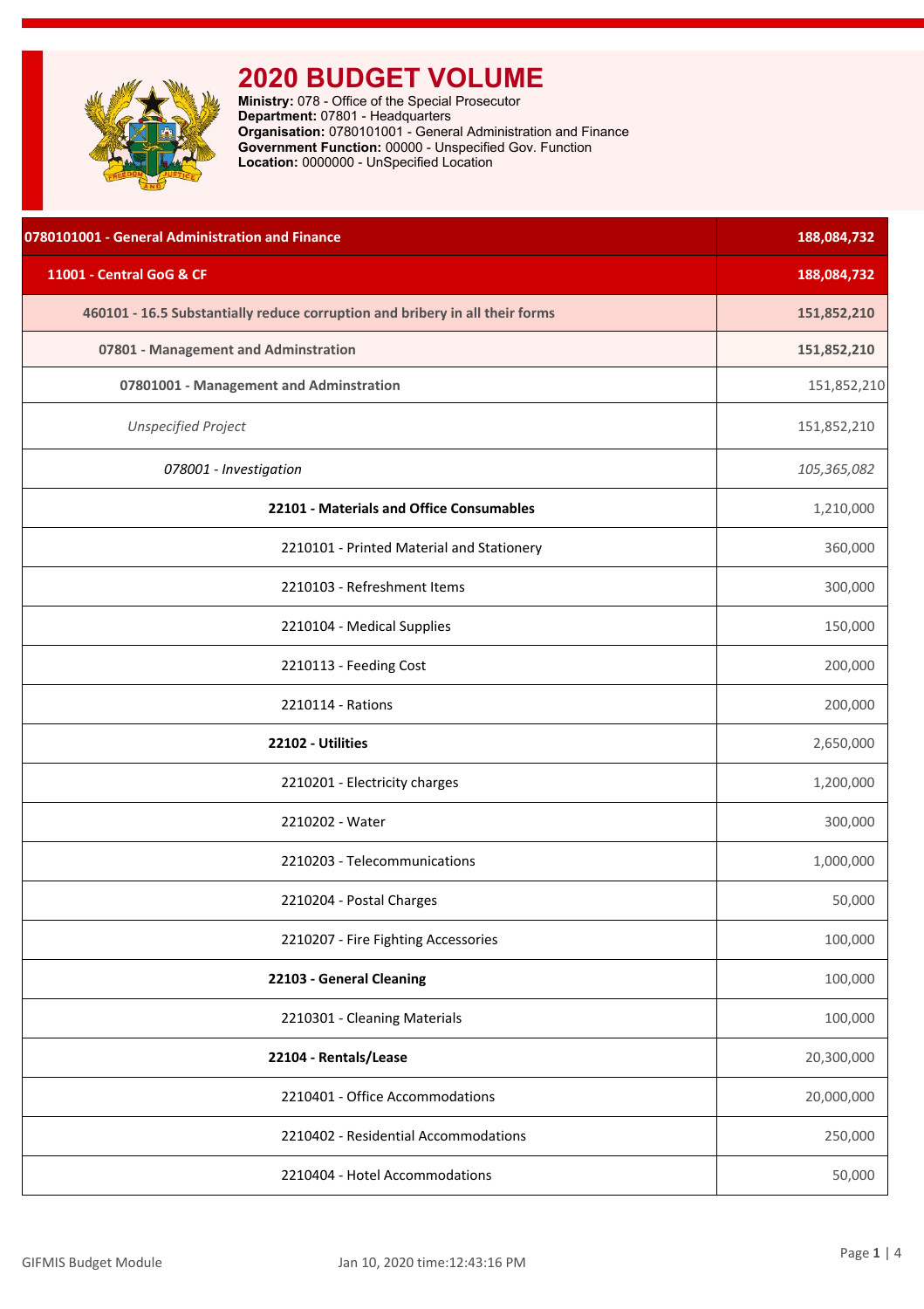<span id="page-1-0"></span>

| 0780101001 - General Administration and Finance                              | 188,084,732 |
|------------------------------------------------------------------------------|-------------|
| 11001 - Central GoG & CF                                                     | 188,084,732 |
| 460101 - 16.5 Substantially reduce corruption and bribery in all their forms | 151,852,210 |
| 07801 - Management and Adminstration                                         | 151,852,210 |
| 07801001 - Management and Adminstration                                      | 151,852,210 |
| <b>Unspecified Project</b>                                                   | 151,852,210 |
| 078001 - Investigation                                                       | 105,365,082 |
| 22101 - Materials and Office Consumables                                     | 1,210,000   |
| 2210101 - Printed Material and Stationery                                    | 360,000     |
| 2210103 - Refreshment Items                                                  | 300,000     |
| 2210104 - Medical Supplies                                                   | 150,000     |
| 2210113 - Feeding Cost                                                       | 200,000     |
| 2210114 - Rations                                                            | 200,000     |
| 22102 - Utilities                                                            | 2,650,000   |
| 2210201 - Electricity charges                                                | 1,200,000   |
| 2210202 - Water                                                              | 300,000     |
| 2210203 - Telecommunications                                                 | 1,000,000   |
| 2210204 - Postal Charges                                                     | 50,000      |
| 2210207 - Fire Fighting Accessories                                          | 100,000     |
| 22103 - General Cleaning                                                     | 100,000     |
| 2210301 - Cleaning Materials                                                 | 100,000     |
| 22104 - Rentals/Lease                                                        | 20,300,000  |
| 2210401 - Office Accommodations                                              | 20,000,000  |
| 2210402 - Residential Accommodations                                         | 250,000     |
| 2210404 - Hotel Accommodations                                               | 50,000      |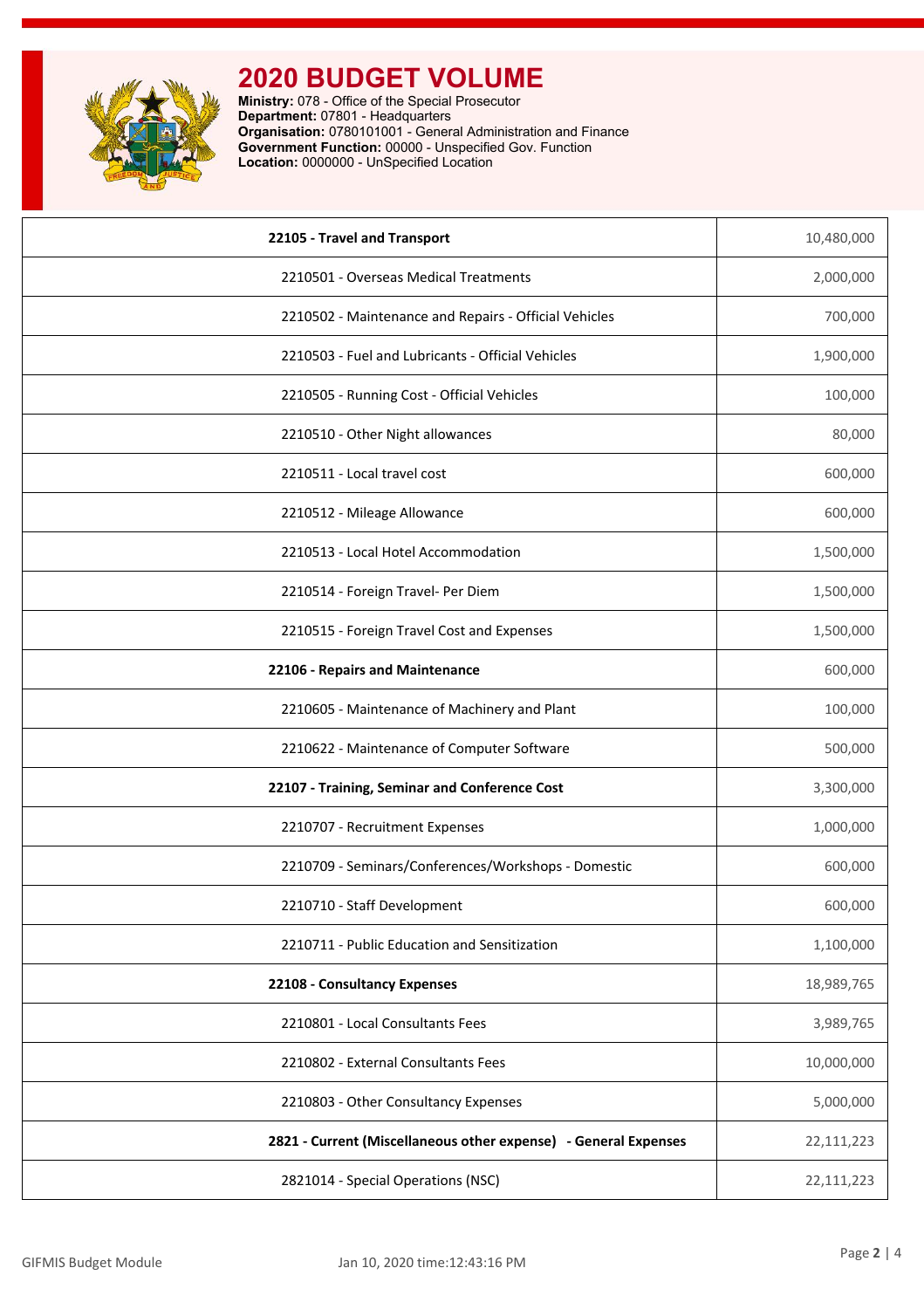

| 22105 - Travel and Transport                                    | 10,480,000 |
|-----------------------------------------------------------------|------------|
| 2210501 - Overseas Medical Treatments                           | 2,000,000  |
| 2210502 - Maintenance and Repairs - Official Vehicles           | 700,000    |
| 2210503 - Fuel and Lubricants - Official Vehicles               | 1,900,000  |
| 2210505 - Running Cost - Official Vehicles                      | 100,000    |
| 2210510 - Other Night allowances                                | 80,000     |
| 2210511 - Local travel cost                                     | 600,000    |
| 2210512 - Mileage Allowance                                     | 600,000    |
| 2210513 - Local Hotel Accommodation                             | 1,500,000  |
| 2210514 - Foreign Travel- Per Diem                              | 1,500,000  |
| 2210515 - Foreign Travel Cost and Expenses                      | 1,500,000  |
| 22106 - Repairs and Maintenance                                 | 600,000    |
| 2210605 - Maintenance of Machinery and Plant                    | 100,000    |
| 2210622 - Maintenance of Computer Software                      | 500,000    |
| 22107 - Training, Seminar and Conference Cost                   | 3,300,000  |
| 2210707 - Recruitment Expenses                                  | 1,000,000  |
| 2210709 - Seminars/Conferences/Workshops - Domestic             | 600,000    |
| 2210710 - Staff Development                                     | 600,000    |
| 2210711 - Public Education and Sensitization                    | 1,100,000  |
| 22108 - Consultancy Expenses                                    | 18,989,765 |
| 2210801 - Local Consultants Fees                                | 3,989,765  |
| 2210802 - External Consultants Fees                             | 10,000,000 |
| 2210803 - Other Consultancy Expenses                            | 5,000,000  |
| 2821 - Current (Miscellaneous other expense) - General Expenses | 22,111,223 |
| 2821014 - Special Operations (NSC)                              | 22,111,223 |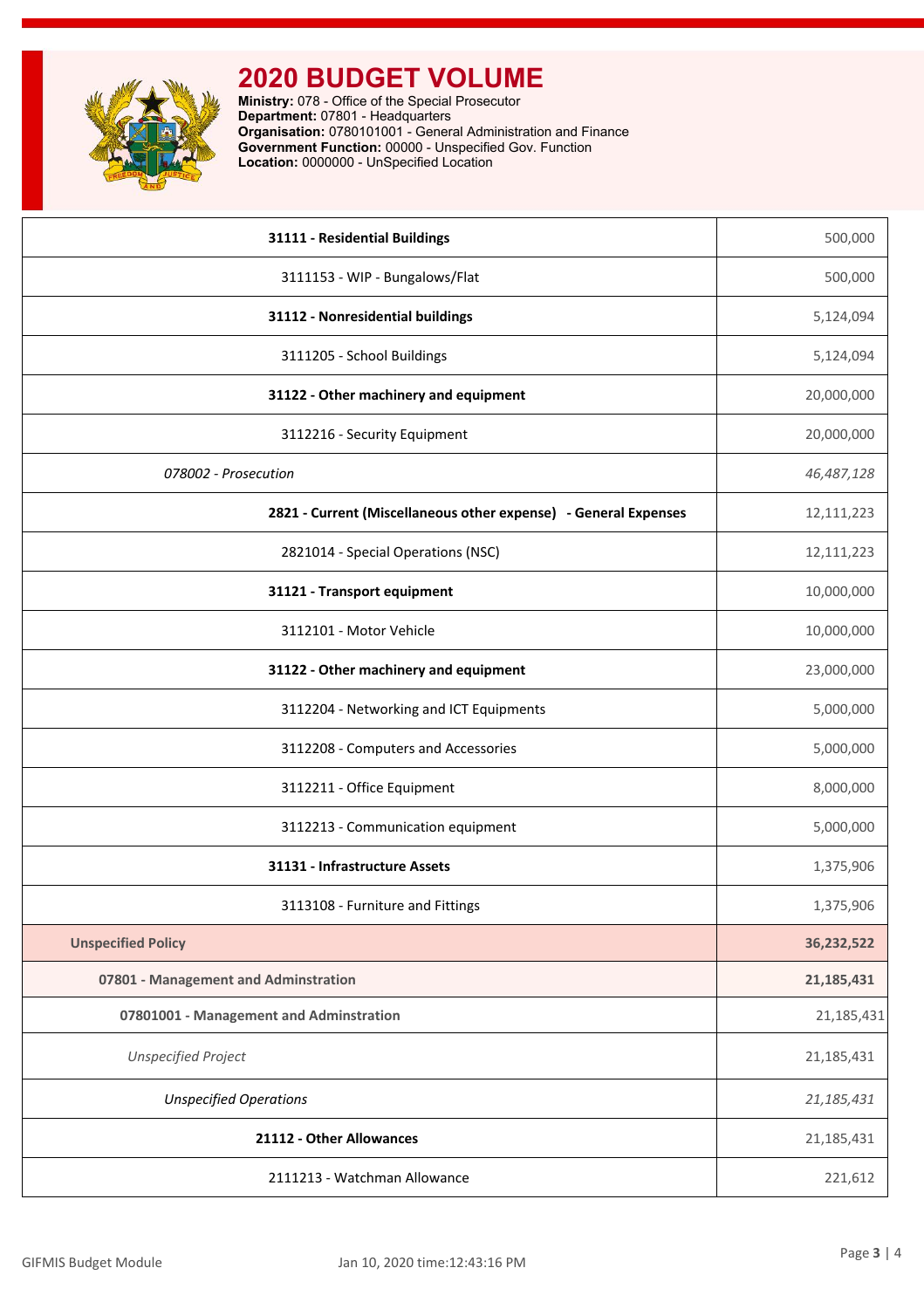

| 31111 - Residential Buildings                                   | 500,000    |
|-----------------------------------------------------------------|------------|
| 3111153 - WIP - Bungalows/Flat                                  | 500,000    |
| 31112 - Nonresidential buildings                                | 5,124,094  |
| 3111205 - School Buildings                                      | 5,124,094  |
| 31122 - Other machinery and equipment                           | 20,000,000 |
| 3112216 - Security Equipment                                    | 20,000,000 |
| 078002 - Prosecution                                            | 46,487,128 |
| 2821 - Current (Miscellaneous other expense) - General Expenses | 12,111,223 |
| 2821014 - Special Operations (NSC)                              | 12,111,223 |
| 31121 - Transport equipment                                     | 10,000,000 |
| 3112101 - Motor Vehicle                                         | 10,000,000 |
| 31122 - Other machinery and equipment                           | 23,000,000 |
| 3112204 - Networking and ICT Equipments                         | 5,000,000  |
| 3112208 - Computers and Accessories                             | 5,000,000  |
| 3112211 - Office Equipment                                      | 8,000,000  |
| 3112213 - Communication equipment                               | 5,000,000  |
| 31131 - Infrastructure Assets                                   | 1,375,906  |
| 3113108 - Furniture and Fittings                                | 1,375,906  |
| <b>Unspecified Policy</b>                                       | 36,232,522 |
| 07801 - Management and Adminstration                            | 21,185,431 |
| 07801001 - Management and Adminstration                         | 21,185,431 |
| <b>Unspecified Project</b>                                      | 21,185,431 |
| <b>Unspecified Operations</b>                                   | 21,185,431 |
| 21112 - Other Allowances                                        | 21,185,431 |
| 2111213 - Watchman Allowance                                    | 221,612    |